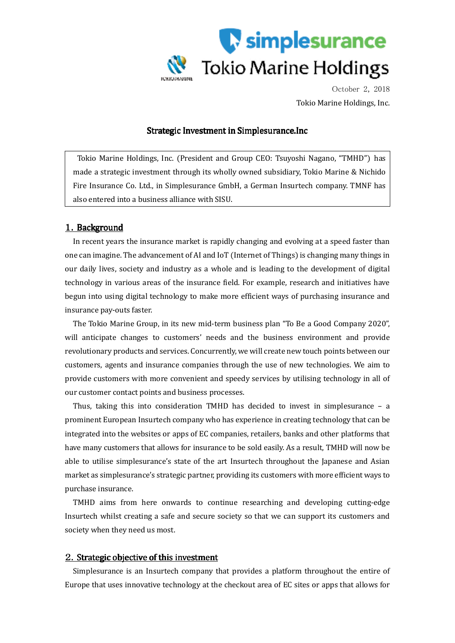

October 2, 2018 Tokio Marine Holdings, Inc.

## Strategic Investment in Simplesurance.Inc

Tokio Marine Holdings, Inc. (President and Group CEO: Tsuyoshi Nagano, "TMHD") has made a strategic investment through its wholly owned subsidiary, Tokio Marine & Nichido Fire Insurance Co. Ltd., in Simplesurance GmbH, a German Insurtech company. TMNF has also entered into a business alliance with SISU.

## 1. Background

In recent years the insurance market is rapidly changing and evolving at a speed faster than one can imagine. The advancement of AI and IoT (Internet of Things) is changing many things in our daily lives, society and industry as a whole and is leading to the development of digital technology in various areas of the insurance field. For example, research and initiatives have begun into using digital technology to make more efficient ways of purchasing insurance and insurance pay-outs faster.

The Tokio Marine Group, in its new mid-term business plan "To Be a Good Company 2020", will anticipate changes to customers' needs and the business environment and provide revolutionary products and services. Concurrently, we will create new touch points between our customers, agents and insurance companies through the use of new technologies. We aim to provide customers with more convenient and speedy services by utilising technology in all of our customer contact points and business processes.

Thus, taking this into consideration TMHD has decided to invest in simplesurance – a prominent European Insurtech company who has experience in creating technology that can be integrated into the websites or apps of EC companies, retailers, banks and other platforms that have many customers that allows for insurance to be sold easily. As a result, TMHD will now be able to utilise simplesurance's state of the art Insurtech throughout the Japanese and Asian market as simplesurance's strategic partner, providing its customers with more efficient ways to purchase insurance.

TMHD aims from here onwards to continue researching and developing cutting-edge Insurtech whilst creating a safe and secure society so that we can support its customers and society when they need us most.

## 2. Strategic objective of this investment

Simplesurance is an Insurtech company that provides a platform throughout the entire of Europe that uses innovative technology at the checkout area of EC sites or apps that allows for